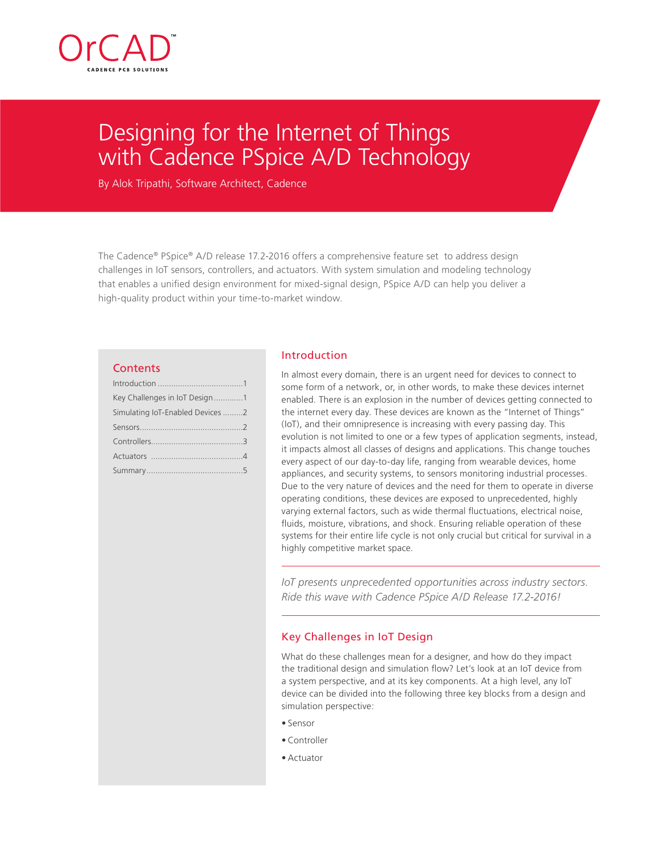

# Designing for the Internet of Things with Cadence PSpice A/D Technology

By Alok Tripathi, Software Architect, Cadence

The Cadence® PSpice® A/D release 17.2-2016 offers a comprehensive feature set to address design challenges in IoT sensors, controllers, and actuators. With system simulation and modeling technology that enables a unified design environment for mixed-signal design, PSpice A/D can help you deliver a high-quality product within your time-to-market window.

#### **Contents**

| Key Challenges in IoT Design1    |
|----------------------------------|
| Simulating IoT-Enabled Devices 2 |
|                                  |
|                                  |
|                                  |
|                                  |

## Introduction

In almost every domain, there is an urgent need for devices to connect to some form of a network, or, in other words, to make these devices internet enabled. There is an explosion in the number of devices getting connected to the internet every day. These devices are known as the "Internet of Things" (IoT), and their omnipresence is increasing with every passing day. This evolution is not limited to one or a few types of application segments, instead, it impacts almost all classes of designs and applications. This change touches every aspect of our day-to-day life, ranging from wearable devices, home appliances, and security systems, to sensors monitoring industrial processes. Due to the very nature of devices and the need for them to operate in diverse operating conditions, these devices are exposed to unprecedented, highly varying external factors, such as wide thermal fluctuations, electrical noise, fluids, moisture, vibrations, and shock. Ensuring reliable operation of these systems for their entire life cycle is not only crucial but critical for survival in a highly competitive market space.

*IoT presents unprecedented opportunities across industry sectors. Ride this wave with Cadence PSpice A/D Release 17.2-2016!*

## Key Challenges in IoT Design

What do these challenges mean for a designer, and how do they impact the traditional design and simulation flow? Let's look at an IoT device from a system perspective, and at its key components. At a high level, any IoT device can be divided into the following three key blocks from a design and simulation perspective:

- Sensor
- Controller
- Actuator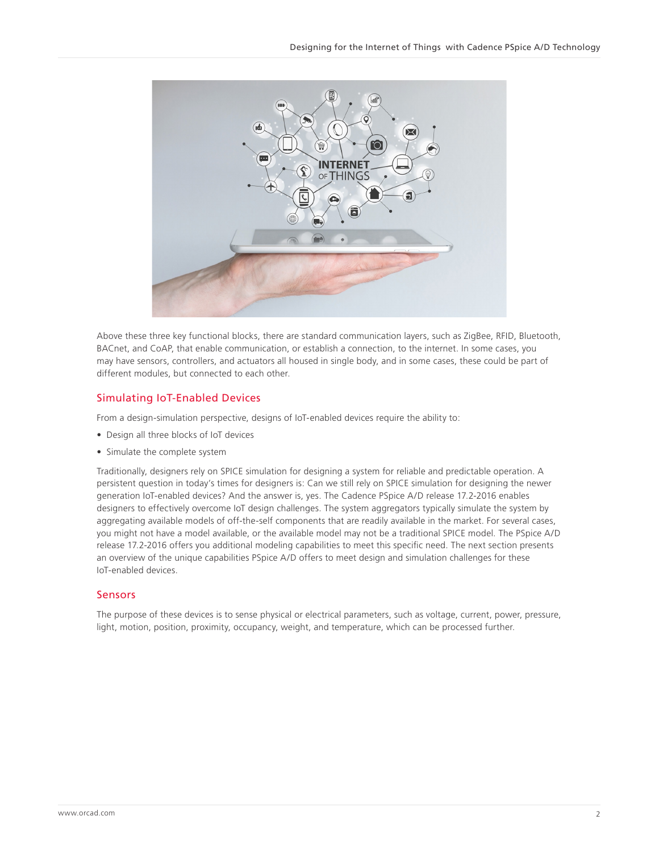

Above these three key functional blocks, there are standard communication layers, such as ZigBee, RFID, Bluetooth, BACnet, and CoAP, that enable communication, or establish a connection, to the internet. In some cases, you may have sensors, controllers, and actuators all housed in single body, and in some cases, these could be part of different modules, but connected to each other.

## Simulating IoT-Enabled Devices

From a design-simulation perspective, designs of IoT-enabled devices require the ability to:

- Design all three blocks of IoT devices
- Simulate the complete system

Traditionally, designers rely on SPICE simulation for designing a system for reliable and predictable operation. A persistent question in today's times for designers is: Can we still rely on SPICE simulation for designing the newer generation IoT-enabled devices? And the answer is, yes. The Cadence PSpice A/D release 17.2-2016 enables designers to effectively overcome IoT design challenges. The system aggregators typically simulate the system by aggregating available models of off-the-self components that are readily available in the market. For several cases, you might not have a model available, or the available model may not be a traditional SPICE model. The PSpice A/D release 17.2-2016 offers you additional modeling capabilities to meet this specific need. The next section presents an overview of the unique capabilities PSpice A/D offers to meet design and simulation challenges for these IoT-enabled devices.

## Sensors

The purpose of these devices is to sense physical or electrical parameters, such as voltage, current, power, pressure, light, motion, position, proximity, occupancy, weight, and temperature, which can be processed further.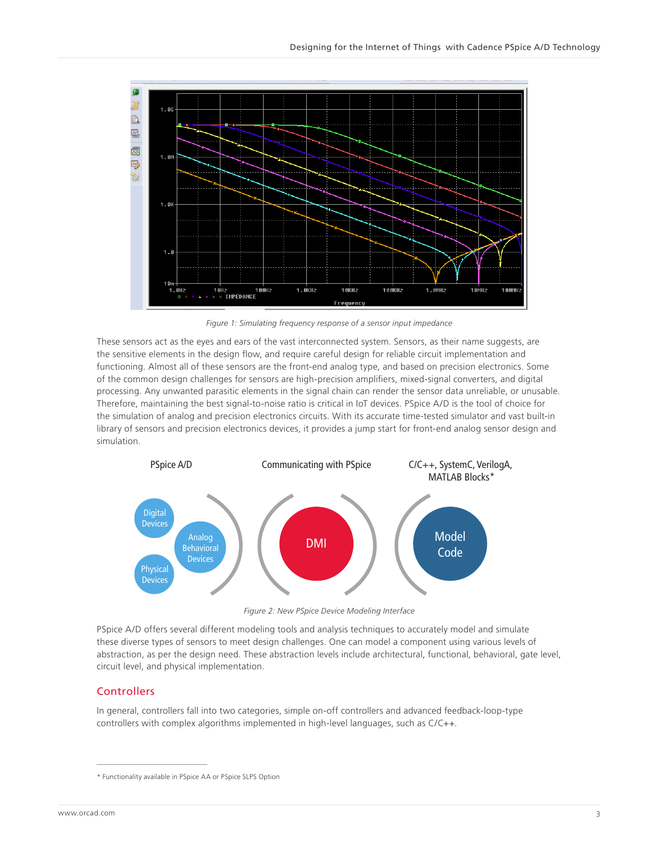

*Figure 1: Simulating frequency response of a sensor input impedance*

These sensors act as the eyes and ears of the vast interconnected system. Sensors, as their name suggests, are the sensitive elements in the design flow, and require careful design for reliable circuit implementation and functioning. Almost all of these sensors are the front-end analog type, and based on precision electronics. Some of the common design challenges for sensors are high-precision amplifiers, mixed-signal converters, and digital processing. Any unwanted parasitic elements in the signal chain can render the sensor data unreliable, or unusable. Therefore, maintaining the best signal-to-noise ratio is critical in IoT devices. PSpice A/D is the tool of choice for the simulation of analog and precision electronics circuits. With its accurate time-tested simulator and vast built-in library of sensors and precision electronics devices, it provides a jump start for front-end analog sensor design and simulation.



*Figure 2: New PSpice Device Modeling Interface*

PSpice A/D offers several different modeling tools and analysis techniques to accurately model and simulate these diverse types of sensors to meet design challenges. One can model a component using various levels of abstraction, as per the design need. These abstraction levels include architectural, functional, behavioral, gate level, circuit level, and physical implementation.

#### **Controllers**

In general, controllers fall into two categories, simple on-off controllers and advanced feedback-loop-type controllers with complex algorithms implemented in high-level languages, such as C/C++.

<sup>\*</sup> Functionality available in PSpice AA or PSpice SLPS Option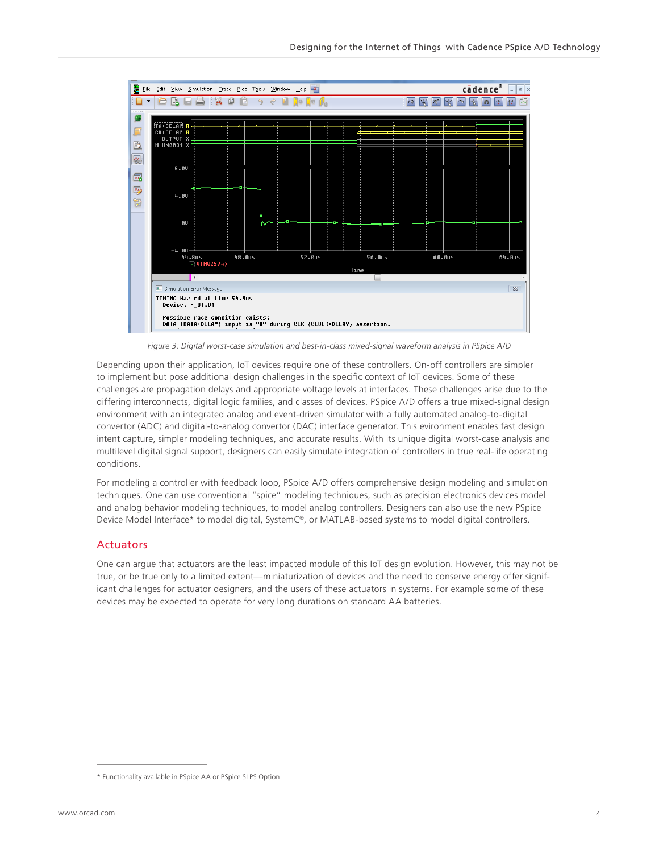

*Figure 3: Digital worst-case simulation and best-in-class mixed-signal waveform analysis in PSpice A/D*

Depending upon their application, IoT devices require one of these controllers. On-off controllers are simpler to implement but pose additional design challenges in the specific context of IoT devices. Some of these challenges are propagation delays and appropriate voltage levels at interfaces. These challenges arise due to the differing interconnects, digital logic families, and classes of devices. PSpice A/D offers a true mixed-signal design environment with an integrated analog and event-driven simulator with a fully automated analog-to-digital convertor (ADC) and digital-to-analog convertor (DAC) interface generator. This evironment enables fast design intent capture, simpler modeling techniques, and accurate results. With its unique digital worst-case analysis and multilevel digital signal support, designers can easily simulate integration of controllers in true real-life operating conditions.

For modeling a controller with feedback loop, PSpice A/D offers comprehensive design modeling and simulation techniques. One can use conventional "spice" modeling techniques, such as precision electronics devices model and analog behavior modeling techniques, to model analog controllers. Designers can also use the new PSpice Device Model Interface\* to model digital, SystemC®, or MATLAB-based systems to model digital controllers.

## **Actuators**

One can argue that actuators are the least impacted module of this IoT design evolution. However, this may not be true, or be true only to a limited extent—miniaturization of devices and the need to conserve energy offer significant challenges for actuator designers, and the users of these actuators in systems. For example some of these devices may be expected to operate for very long durations on standard AA batteries.

<sup>\*</sup> Functionality available in PSpice AA or PSpice SLPS Option